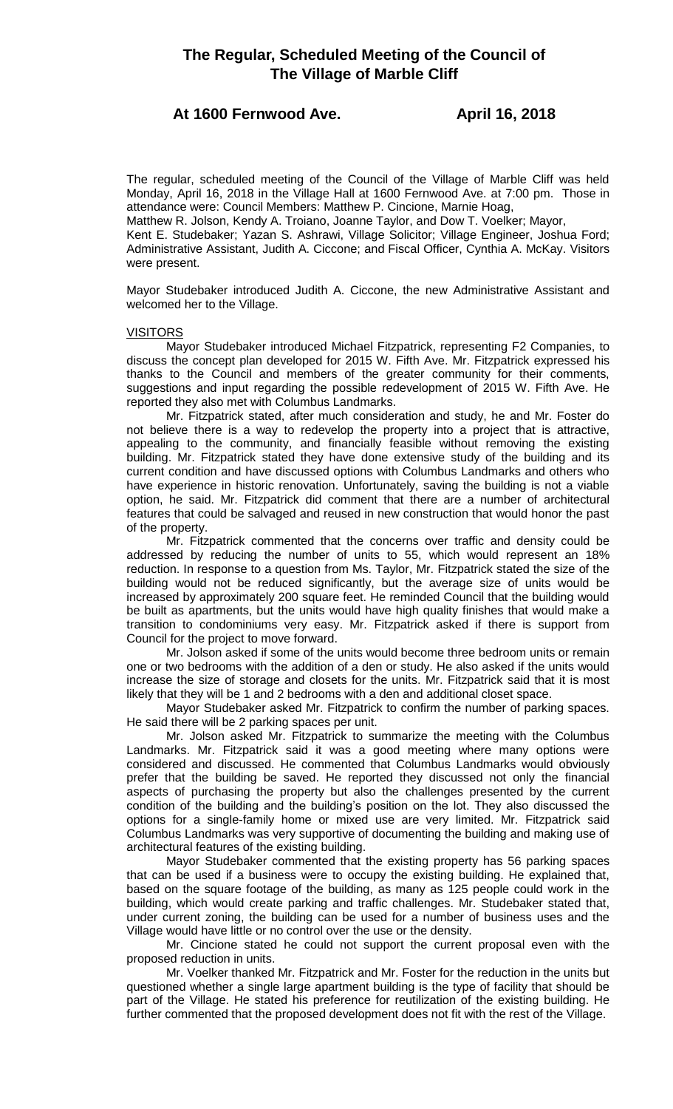# **The Regular, Scheduled Meeting of the Council of The Village of Marble Cliff**

## **At 1600 Fernwood Ave. April 16, 2018**

The regular, scheduled meeting of the Council of the Village of Marble Cliff was held Monday, April 16, 2018 in the Village Hall at 1600 Fernwood Ave. at 7:00 pm. Those in attendance were: Council Members: Matthew P. Cincione, Marnie Hoag,

Matthew R. Jolson, Kendy A. Troiano, Joanne Taylor, and Dow T. Voelker; Mayor,

Kent E. Studebaker; Yazan S. Ashrawi, Village Solicitor; Village Engineer, Joshua Ford; Administrative Assistant, Judith A. Ciccone; and Fiscal Officer, Cynthia A. McKay. Visitors were present.

Mayor Studebaker introduced Judith A. Ciccone, the new Administrative Assistant and welcomed her to the Village.

## VISITORS

Mayor Studebaker introduced Michael Fitzpatrick, representing F2 Companies, to discuss the concept plan developed for 2015 W. Fifth Ave. Mr. Fitzpatrick expressed his thanks to the Council and members of the greater community for their comments, suggestions and input regarding the possible redevelopment of 2015 W. Fifth Ave. He reported they also met with Columbus Landmarks.

Mr. Fitzpatrick stated, after much consideration and study, he and Mr. Foster do not believe there is a way to redevelop the property into a project that is attractive, appealing to the community, and financially feasible without removing the existing building. Mr. Fitzpatrick stated they have done extensive study of the building and its current condition and have discussed options with Columbus Landmarks and others who have experience in historic renovation. Unfortunately, saving the building is not a viable option, he said. Mr. Fitzpatrick did comment that there are a number of architectural features that could be salvaged and reused in new construction that would honor the past of the property.

Mr. Fitzpatrick commented that the concerns over traffic and density could be addressed by reducing the number of units to 55, which would represent an 18% reduction. In response to a question from Ms. Taylor, Mr. Fitzpatrick stated the size of the building would not be reduced significantly, but the average size of units would be increased by approximately 200 square feet. He reminded Council that the building would be built as apartments, but the units would have high quality finishes that would make a transition to condominiums very easy. Mr. Fitzpatrick asked if there is support from Council for the project to move forward.

Mr. Jolson asked if some of the units would become three bedroom units or remain one or two bedrooms with the addition of a den or study. He also asked if the units would increase the size of storage and closets for the units. Mr. Fitzpatrick said that it is most likely that they will be 1 and 2 bedrooms with a den and additional closet space.

Mayor Studebaker asked Mr. Fitzpatrick to confirm the number of parking spaces. He said there will be 2 parking spaces per unit.

Mr. Jolson asked Mr. Fitzpatrick to summarize the meeting with the Columbus Landmarks. Mr. Fitzpatrick said it was a good meeting where many options were considered and discussed. He commented that Columbus Landmarks would obviously prefer that the building be saved. He reported they discussed not only the financial aspects of purchasing the property but also the challenges presented by the current condition of the building and the building's position on the lot. They also discussed the options for a single-family home or mixed use are very limited. Mr. Fitzpatrick said Columbus Landmarks was very supportive of documenting the building and making use of architectural features of the existing building.

Mayor Studebaker commented that the existing property has 56 parking spaces that can be used if a business were to occupy the existing building. He explained that, based on the square footage of the building, as many as 125 people could work in the building, which would create parking and traffic challenges. Mr. Studebaker stated that, under current zoning, the building can be used for a number of business uses and the Village would have little or no control over the use or the density.

Mr. Cincione stated he could not support the current proposal even with the proposed reduction in units.

Mr. Voelker thanked Mr. Fitzpatrick and Mr. Foster for the reduction in the units but questioned whether a single large apartment building is the type of facility that should be part of the Village. He stated his preference for reutilization of the existing building. He further commented that the proposed development does not fit with the rest of the Village.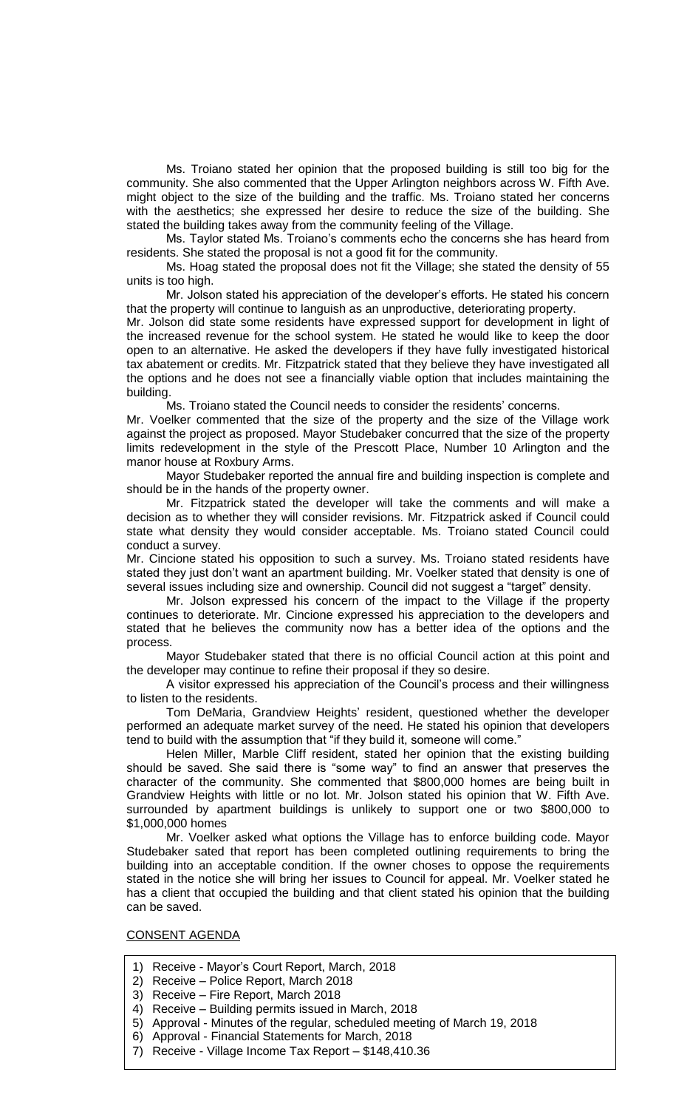Ms. Troiano stated her opinion that the proposed building is still too big for the community. She also commented that the Upper Arlington neighbors across W. Fifth Ave. might object to the size of the building and the traffic. Ms. Troiano stated her concerns with the aesthetics; she expressed her desire to reduce the size of the building. She stated the building takes away from the community feeling of the Village.

Ms. Taylor stated Ms. Troiano's comments echo the concerns she has heard from residents. She stated the proposal is not a good fit for the community.

Ms. Hoag stated the proposal does not fit the Village; she stated the density of 55 units is too high.

Mr. Jolson stated his appreciation of the developer's efforts. He stated his concern that the property will continue to languish as an unproductive, deteriorating property.

Mr. Jolson did state some residents have expressed support for development in light of the increased revenue for the school system. He stated he would like to keep the door open to an alternative. He asked the developers if they have fully investigated historical tax abatement or credits. Mr. Fitzpatrick stated that they believe they have investigated all the options and he does not see a financially viable option that includes maintaining the building.

Ms. Troiano stated the Council needs to consider the residents' concerns.

Mr. Voelker commented that the size of the property and the size of the Village work against the project as proposed. Mayor Studebaker concurred that the size of the property limits redevelopment in the style of the Prescott Place, Number 10 Arlington and the manor house at Roxbury Arms.

Mayor Studebaker reported the annual fire and building inspection is complete and should be in the hands of the property owner.

Mr. Fitzpatrick stated the developer will take the comments and will make a decision as to whether they will consider revisions. Mr. Fitzpatrick asked if Council could state what density they would consider acceptable. Ms. Troiano stated Council could conduct a survey.

Mr. Cincione stated his opposition to such a survey. Ms. Troiano stated residents have stated they just don't want an apartment building. Mr. Voelker stated that density is one of several issues including size and ownership. Council did not suggest a "target" density.

Mr. Jolson expressed his concern of the impact to the Village if the property continues to deteriorate. Mr. Cincione expressed his appreciation to the developers and stated that he believes the community now has a better idea of the options and the process.

Mayor Studebaker stated that there is no official Council action at this point and the developer may continue to refine their proposal if they so desire.

A visitor expressed his appreciation of the Council's process and their willingness to listen to the residents.

Tom DeMaria, Grandview Heights' resident, questioned whether the developer performed an adequate market survey of the need. He stated his opinion that developers tend to build with the assumption that "if they build it, someone will come."

Helen Miller, Marble Cliff resident, stated her opinion that the existing building should be saved. She said there is "some way" to find an answer that preserves the character of the community. She commented that \$800,000 homes are being built in Grandview Heights with little or no lot. Mr. Jolson stated his opinion that W. Fifth Ave. surrounded by apartment buildings is unlikely to support one or two \$800,000 to \$1,000,000 homes

Mr. Voelker asked what options the Village has to enforce building code. Mayor Studebaker sated that report has been completed outlining requirements to bring the building into an acceptable condition. If the owner choses to oppose the requirements stated in the notice she will bring her issues to Council for appeal. Mr. Voelker stated he has a client that occupied the building and that client stated his opinion that the building can be saved.

## CONSENT AGENDA

- 1) Receive Mayor's Court Report, March, 2018
- 2) Receive Police Report, March 2018
- 3) Receive Fire Report, March 2018
- 4) Receive Building permits issued in March, 2018
- 5) Approval Minutes of the regular, scheduled meeting of March 19, 2018
- 6) Approval Financial Statements for March, 2018
- 7) Receive Village Income Tax Report \$148,410.36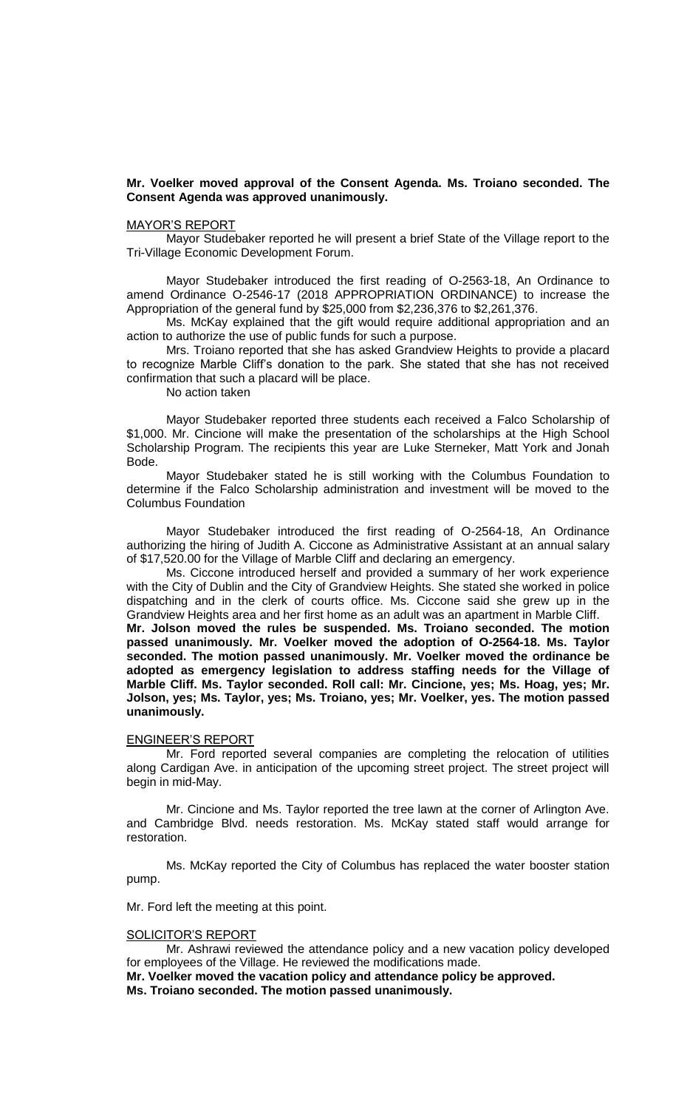## **Mr. Voelker moved approval of the Consent Agenda. Ms. Troiano seconded. The Consent Agenda was approved unanimously.**

## MAYOR'S REPORT

Mayor Studebaker reported he will present a brief State of the Village report to the Tri-Village Economic Development Forum.

Mayor Studebaker introduced the first reading of O-2563-18, An Ordinance to amend Ordinance O-2546-17 (2018 APPROPRIATION ORDINANCE) to increase the Appropriation of the general fund by \$25,000 from \$2,236,376 to \$2,261,376.

Ms. McKay explained that the gift would require additional appropriation and an action to authorize the use of public funds for such a purpose.

Mrs. Troiano reported that she has asked Grandview Heights to provide a placard to recognize Marble Cliff's donation to the park. She stated that she has not received confirmation that such a placard will be place.

No action taken

Mayor Studebaker reported three students each received a Falco Scholarship of \$1,000. Mr. Cincione will make the presentation of the scholarships at the High School Scholarship Program. The recipients this year are Luke Sterneker, Matt York and Jonah Bode.

Mayor Studebaker stated he is still working with the Columbus Foundation to determine if the Falco Scholarship administration and investment will be moved to the Columbus Foundation

Mayor Studebaker introduced the first reading of O-2564-18, An Ordinance authorizing the hiring of Judith A. Ciccone as Administrative Assistant at an annual salary of \$17,520.00 for the Village of Marble Cliff and declaring an emergency.

Ms. Ciccone introduced herself and provided a summary of her work experience with the City of Dublin and the City of Grandview Heights. She stated she worked in police dispatching and in the clerk of courts office. Ms. Ciccone said she grew up in the Grandview Heights area and her first home as an adult was an apartment in Marble Cliff.

**Mr. Jolson moved the rules be suspended. Ms. Troiano seconded. The motion passed unanimously. Mr. Voelker moved the adoption of O-2564-18. Ms. Taylor seconded. The motion passed unanimously. Mr. Voelker moved the ordinance be adopted as emergency legislation to address staffing needs for the Village of Marble Cliff. Ms. Taylor seconded. Roll call: Mr. Cincione, yes; Ms. Hoag, yes; Mr. Jolson, yes; Ms. Taylor, yes; Ms. Troiano, yes; Mr. Voelker, yes. The motion passed unanimously.**

#### ENGINEER'S REPORT

Mr. Ford reported several companies are completing the relocation of utilities along Cardigan Ave. in anticipation of the upcoming street project. The street project will begin in mid-May.

Mr. Cincione and Ms. Taylor reported the tree lawn at the corner of Arlington Ave. and Cambridge Blvd. needs restoration. Ms. McKay stated staff would arrange for restoration.

Ms. McKay reported the City of Columbus has replaced the water booster station pump.

Mr. Ford left the meeting at this point.

#### SOLICITOR'S REPORT

Mr. Ashrawi reviewed the attendance policy and a new vacation policy developed for employees of the Village. He reviewed the modifications made.

**Mr. Voelker moved the vacation policy and attendance policy be approved. Ms. Troiano seconded. The motion passed unanimously.**